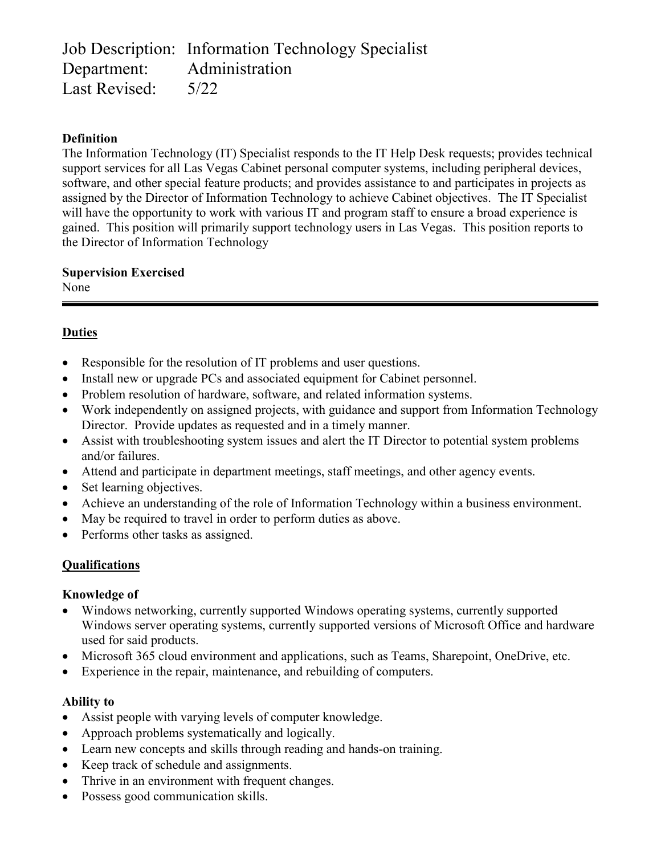Job Description: Information Technology Specialist Department: Administration Last Revised: 5/22

### **Definition**

The Information Technology (IT) Specialist responds to the IT Help Desk requests; provides technical support services for all Las Vegas Cabinet personal computer systems, including peripheral devices, software, and other special feature products; and provides assistance to and participates in projects as assigned by the Director of Information Technology to achieve Cabinet objectives. The IT Specialist will have the opportunity to work with various IT and program staff to ensure a broad experience is gained. This position will primarily support technology users in Las Vegas. This position reports to the Director of Information Technology

**Supervision Exercised** None

### **Duties**

- Responsible for the resolution of IT problems and user questions.
- Install new or upgrade PCs and associated equipment for Cabinet personnel.
- Problem resolution of hardware, software, and related information systems.
- Work independently on assigned projects, with guidance and support from Information Technology Director. Provide updates as requested and in a timely manner.
- Assist with troubleshooting system issues and alert the IT Director to potential system problems and/or failures.
- Attend and participate in department meetings, staff meetings, and other agency events.
- Set learning objectives.
- Achieve an understanding of the role of Information Technology within a business environment.
- May be required to travel in order to perform duties as above.
- Performs other tasks as assigned.

## **Qualifications**

#### **Knowledge of**

- Windows networking, currently supported Windows operating systems, currently supported Windows server operating systems, currently supported versions of Microsoft Office and hardware used for said products.
- Microsoft 365 cloud environment and applications, such as Teams, Sharepoint, OneDrive, etc.
- Experience in the repair, maintenance, and rebuilding of computers.

#### **Ability to**

- Assist people with varying levels of computer knowledge.
- Approach problems systematically and logically.
- Learn new concepts and skills through reading and hands-on training.
- Keep track of schedule and assignments.
- Thrive in an environment with frequent changes.
- Possess good communication skills.